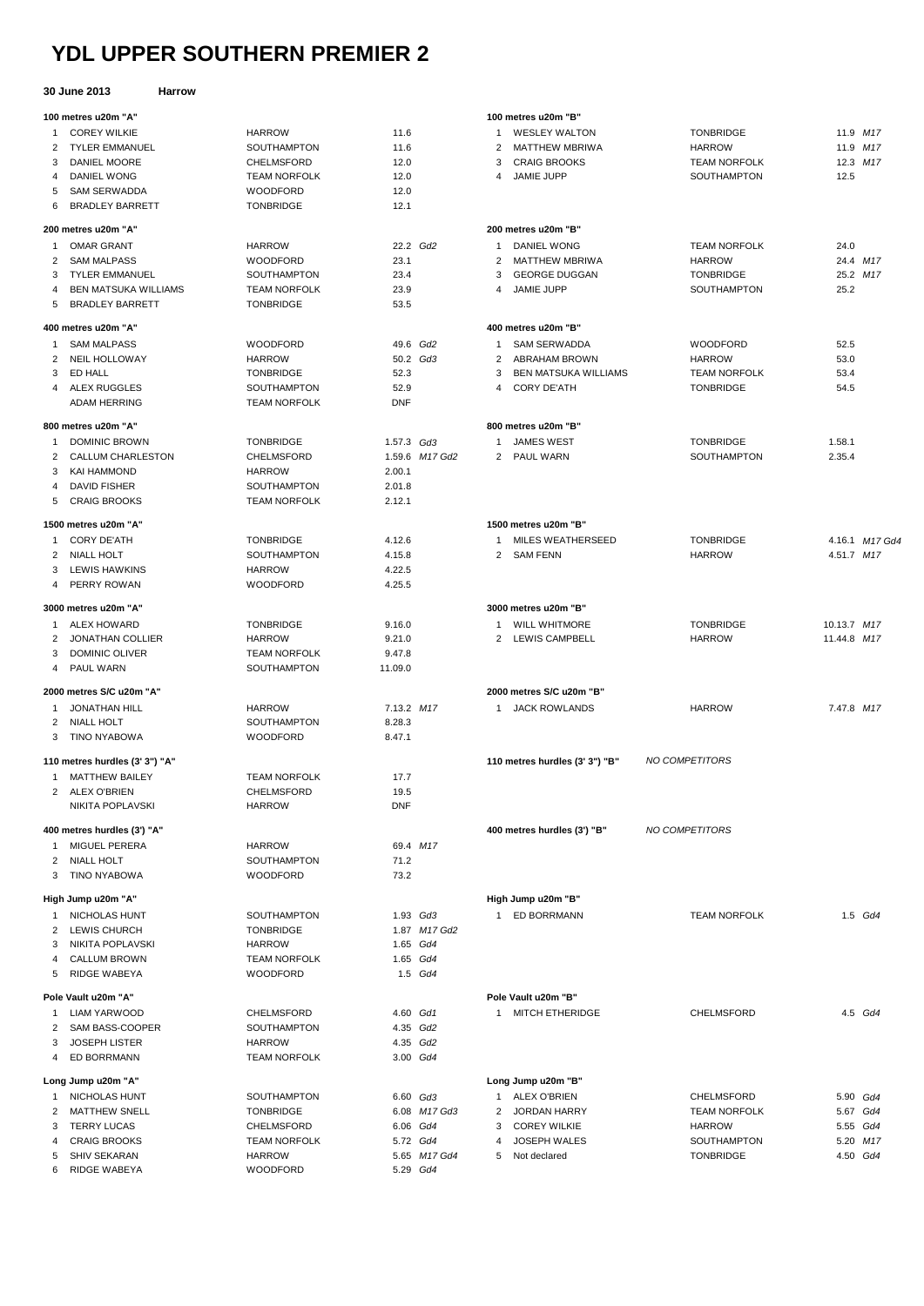## **YDL UPPER SOUTHERN PREMIER 2**

## **30 June 2013 Harrow**

|        | JU JUNG LUIJ                   |                                    |                   |                |                |                                |                     |             |          |
|--------|--------------------------------|------------------------------------|-------------------|----------------|----------------|--------------------------------|---------------------|-------------|----------|
|        | 100 metres u20m "A"            |                                    |                   |                |                | 100 metres u20m "B"            |                     |             |          |
| 1      | <b>COREY WILKIE</b>            | <b>HARROW</b>                      | 11.6              |                | 1              | <b>WESLEY WALTON</b>           | <b>TONBRIDGE</b>    |             | 11.9 M17 |
| 2      | <b>TYLER EMMANUEL</b>          | SOUTHAMPTON                        | 11.6              |                | 2              | <b>MATTHEW MBRIWA</b>          | <b>HARROW</b>       |             | 11.9 M17 |
| 3      | DANIEL MOORE                   | <b>CHELMSFORD</b>                  | 12.0              |                | 3              | <b>CRAIG BROOKS</b>            | <b>TEAM NORFOLK</b> |             | 12.3 M17 |
| 4      | DANIEL WONG                    | <b>TEAM NORFOLK</b>                | 12.0              |                | 4              | JAMIE JUPP                     | SOUTHAMPTON         | 12.5        |          |
| 5      | <b>SAM SERWADDA</b>            | <b>WOODFORD</b>                    | 12.0              |                |                |                                |                     |             |          |
| 6      | <b>BRADLEY BARRETT</b>         | <b>TONBRIDGE</b>                   | 12.1              |                |                |                                |                     |             |          |
|        | 200 metres u20m "A"            |                                    |                   |                |                | 200 metres u20m "B"            |                     |             |          |
| -1     | <b>OMAR GRANT</b>              | <b>HARROW</b>                      | 22.2 Gd2          |                | 1              | DANIEL WONG                    | <b>TEAM NORFOLK</b> | 24.0        |          |
| 2      | <b>SAM MALPASS</b>             | <b>WOODFORD</b>                    | 23.1              |                | 2              | <b>MATTHEW MBRIWA</b>          | <b>HARROW</b>       |             | 24.4 M17 |
| 3      | <b>TYLER EMMANUEL</b>          | SOUTHAMPTON                        | 23.4              |                | 3              | <b>GEORGE DUGGAN</b>           | <b>TONBRIDGE</b>    |             | 25.2 M17 |
| 4      | <b>BEN MATSUKA WILLIAMS</b>    | <b>TEAM NORFOLK</b>                | 23.9              |                | 4              | <b>JAMIE JUPP</b>              | <b>SOUTHAMPTON</b>  | 25.2        |          |
| 5      | <b>BRADLEY BARRETT</b>         | <b>TONBRIDGE</b>                   | 53.5              |                |                |                                |                     |             |          |
|        | 400 metres u20m "A"            |                                    |                   |                |                | 400 metres u20m "B"            |                     |             |          |
| 1      | <b>SAM MALPASS</b>             | <b>WOODFORD</b>                    |                   | 49.6 Gd2       | 1              | <b>SAM SERWADDA</b>            | <b>WOODFORD</b>     | 52.5        |          |
| 2      | <b>NEIL HOLLOWAY</b>           | <b>HARROW</b>                      |                   | 50.2 Gd3       | 2              | ABRAHAM BROWN                  | <b>HARROW</b>       | 53.0        |          |
| 3      | ED HALL                        | <b>TONBRIDGE</b>                   | 52.3              |                | 3              | <b>BEN MATSUKA WILLIAMS</b>    | <b>TEAM NORFOLK</b> | 53.4        |          |
| 4      | ALEX RUGGLES                   | SOUTHAMPTON                        | 52.9              |                | 4              | <b>CORY DE'ATH</b>             | <b>TONBRIDGE</b>    | 54.5        |          |
|        | <b>ADAM HERRING</b>            | <b>TEAM NORFOLK</b>                | <b>DNF</b>        |                |                |                                |                     |             |          |
|        |                                |                                    |                   |                |                |                                |                     |             |          |
|        | 800 metres u20m "A"            |                                    |                   |                |                | 800 metres u20m "B"            |                     |             |          |
| 1      | <b>DOMINIC BROWN</b>           | <b>TONBRIDGE</b>                   | 1.57.3 Gd3        |                | 1              | <b>JAMES WEST</b>              | <b>TONBRIDGE</b>    | 1.58.1      |          |
| 2      | CALLUM CHARLESTON              | CHELMSFORD                         |                   | 1.59.6 M17 Gd2 | $\overline{2}$ | PAUL WARN                      | <b>SOUTHAMPTON</b>  | 2.35.4      |          |
| 3      | KAI HAMMOND                    | <b>HARROW</b>                      | 2.00.1            |                |                |                                |                     |             |          |
| 4      | <b>DAVID FISHER</b>            | <b>SOUTHAMPTON</b>                 | 2.01.8            |                |                |                                |                     |             |          |
| 5      | <b>CRAIG BROOKS</b>            | <b>TEAM NORFOLK</b>                | 2.12.1            |                |                |                                |                     |             |          |
|        | 1500 metres u20m "A"           |                                    |                   |                |                | 1500 metres u20m "B"           |                     |             |          |
| 1      | <b>CORY DE'ATH</b>             | <b>TONBRIDGE</b>                   | 4.12.6            |                | 1              | <b>MILES WEATHERSEED</b>       | <b>TONBRIDGE</b>    | 4.16.1 M17  |          |
| 2      | NIALL HOLT                     | SOUTHAMPTON                        | 4.15.8            |                | 2              | SAM FENN                       | <b>HARROW</b>       | 4.51.7 M17  |          |
| 3      | LEWIS HAWKINS                  | <b>HARROW</b>                      | 4.22.5            |                |                |                                |                     |             |          |
| 4      | PERRY ROWAN                    | <b>WOODFORD</b>                    | 4.25.5            |                |                |                                |                     |             |          |
|        | 3000 metres u20m "A"           |                                    |                   |                |                | 3000 metres u20m "B"           |                     |             |          |
| -1     | <b>ALEX HOWARD</b>             | <b>TONBRIDGE</b>                   | 9.16.0            |                | 1              | <b>WILL WHITMORE</b>           | <b>TONBRIDGE</b>    | 10.13.7 M17 |          |
|        | JONATHAN COLLIER               | <b>HARROW</b>                      | 9.21.0            |                |                | 2 LEWIS CAMPBELL               | <b>HARROW</b>       | 11.44.8 M17 |          |
| 2      |                                |                                    |                   |                |                |                                |                     |             |          |
| 3<br>4 | DOMINIC OLIVER<br>PAUL WARN    | <b>TEAM NORFOLK</b><br>SOUTHAMPTON | 9.47.8<br>11.09.0 |                |                |                                |                     |             |          |
|        |                                |                                    |                   |                |                |                                |                     |             |          |
|        | 2000 metres S/C u20m "A"       |                                    |                   |                |                | 2000 metres S/C u20m "B"       |                     |             |          |
| 1      | <b>JONATHAN HILL</b>           | HARROW                             | 7.13.2 M17        |                | -1             | <b>JACK ROWLANDS</b>           | <b>HARROW</b>       | 7.47.8 M17  |          |
| 2      | <b>NIALL HOLT</b>              | SOUTHAMPTON                        | 8.28.3            |                |                |                                |                     |             |          |
| 3      | <b>TINO NYABOWA</b>            | <b>WOODFORD</b>                    | 8.47.1            |                |                |                                |                     |             |          |
|        | 110 metres hurdles (3' 3") "A" |                                    |                   |                |                | 110 metres hurdles (3' 3") "B" | NO COMPETITORS      |             |          |
|        | 1 MATTHEW BAILEY               | <b>TEAM NORFOLK</b>                | 17.7              |                |                |                                |                     |             |          |
|        | 2 ALEX O'BRIEN                 | CHELMSFORD                         | 19.5              |                |                |                                |                     |             |          |
|        | NIKITA POPLAVSKI               | <b>HARROW</b>                      | <b>DNF</b>        |                |                |                                |                     |             |          |
|        | 400 metres hurdles (3') "A"    |                                    |                   |                |                | 400 metres hurdles (3') "B"    | NO COMPETITORS      |             |          |
| -1     | <b>MIGUEL PERERA</b>           | <b>HARROW</b>                      |                   | 69.4 M17       |                |                                |                     |             |          |
| 2      | <b>NIALL HOLT</b>              | SOUTHAMPTON                        | 71.2              |                |                |                                |                     |             |          |
| 3      | <b>TINO NYABOWA</b>            | WOODFORD                           | 73.2              |                |                |                                |                     |             |          |
|        |                                |                                    |                   |                |                |                                |                     |             |          |
|        | High Jump u20m "A"             |                                    |                   |                |                | High Jump u20m "B"             |                     |             |          |
| 1      | NICHOLAS HUNT                  | SOUTHAMPTON                        |                   | 1.93 Gd3       |                | 1 ED BORRMANN                  | <b>TEAM NORFOLK</b> |             | 1.5 Gd4  |
| 2      | LEWIS CHURCH                   | <b>TONBRIDGE</b>                   |                   | 1.87 M17 Gd2   |                |                                |                     |             |          |
| 3      | NIKITA POPLAVSKI               | <b>HARROW</b>                      |                   | 1.65 Gd4       |                |                                |                     |             |          |
| 4      | <b>CALLUM BROWN</b>            | <b>TEAM NORFOLK</b>                |                   | 1.65 Gd4       |                |                                |                     |             |          |
| 5      | RIDGE WABEYA                   | <b>WOODFORD</b>                    |                   | 1.5 Gd4        |                |                                |                     |             |          |
|        | Pole Vault u20m "A"            |                                    |                   |                |                | Pole Vault u20m "B"            |                     |             |          |
| -1     | LIAM YARWOOD                   | CHELMSFORD                         | 4.60 Gd1          |                |                | 1 MITCH ETHERIDGE              | <b>CHELMSFORD</b>   |             | 4.5 Gd4  |
| 2      | SAM BASS-COOPER                | SOUTHAMPTON                        |                   | 4.35 Gd2       |                |                                |                     |             |          |
| 3      | <b>JOSEPH LISTER</b>           | <b>HARROW</b>                      |                   | 4.35 Gd2       |                |                                |                     |             |          |
| 4      | ED BORRMANN                    | <b>TEAM NORFOLK</b>                |                   | 3.00 Gd4       |                |                                |                     |             |          |
|        | Long Jump u20m "A"             |                                    |                   |                |                | Long Jump u20m "B"             |                     |             |          |
| 1      | NICHOLAS HUNT                  | SOUTHAMPTON                        |                   | 6.60 Gd3       |                | 1 ALEX O'BRIEN                 | CHELMSFORD          | 5.90 Gd4    |          |
| 2      | MATTHEW SNELL                  | <b>TONBRIDGE</b>                   |                   | 6.08 M17 Gd3   | 2              | <b>JORDAN HARRY</b>            | <b>TEAM NORFOLK</b> | 5.67 Gd4    |          |
| 3      | <b>TERRY LUCAS</b>             | CHELMSFORD                         |                   | 6.06 Gd4       | 3              | <b>COREY WILKIE</b>            | <b>HARROW</b>       |             | 5.55 Gd4 |
| 4      | <b>CRAIG BROOKS</b>            | <b>TEAM NORFOLK</b>                |                   | 5.72 Gd4       | 4              | <b>JOSEPH WALES</b>            | SOUTHAMPTON         |             | 5.20 M17 |
|        | 5 SHIV SEKARAN                 | <b>HARROW</b>                      |                   | 5.65 M17 Gd4   |                | 5 Not declared                 | <b>TONBRIDGE</b>    |             | 4.50 Gd4 |
|        |                                |                                    |                   |                |                |                                |                     |             |          |

RIDGE WABEYA WOODFORD 5.29 *Gd4*

|                | 1 WESLEY WALTON                               | <b>TONBRIDGE</b>              |              | 11.9 M17       |
|----------------|-----------------------------------------------|-------------------------------|--------------|----------------|
|                | 2 MATTHEW MBRIWA                              | <b>HARROW</b>                 |              | 11.9 M17       |
|                | 3 CRAIG BROOKS                                | <b>TEAM NORFOLK</b>           |              | 12.3 M17       |
|                | 4 JAMIE JUPP                                  | SOUTHAMPTON                   | 12.5         |                |
|                | 200 metres u20m "B"                           |                               |              |                |
|                | 1 DANIEL WONG                                 | <b>TEAM NORFOLK</b>           | 24.0         |                |
|                | 2 MATTHEW MBRIWA                              | HARROW                        |              | 24.4 M17       |
|                | 3 GEORGE DUGGAN                               | TONBRIDGE                     |              | 25.2 M17       |
|                | 4 JAMIE JUPP                                  | SOUTHAMPTON                   | 25.2         |                |
|                | 400 metres u20m "B"                           |                               |              |                |
| $\mathbf{1}$   | SAM SERWADDA<br>2 ABRAHAM BROWN               | WOODFORD                      | 52.5         |                |
|                | 3 BEN MATSUKA WILLIAMS                        | HARROW<br><b>TEAM NORFOLK</b> | 53.0<br>53.4 |                |
|                | 4 CORY DE'ATH                                 | <b>TONBRIDGE</b>              | 54.5         |                |
|                | 800 metres u20m "B"                           |                               |              |                |
|                | 1 JAMES WEST                                  | TONBRIDGE                     | 1.58.1       |                |
|                | 2 PAUL WARN                                   | SOUTHAMPTON                   | 2.35.4       |                |
|                |                                               |                               |              |                |
|                | 1500 metres u20m "B"                          |                               |              |                |
|                | 1 MILES WEATHERSEED                           | <b>TONBRIDGE</b>              |              | 4.16.1 M17 Gd4 |
|                | 2 SAM FENN                                    | <b>HARROW</b>                 | 4.51.7 M17   |                |
|                | 3000 metres u20m "B"                          |                               |              |                |
|                | 1 WILL WHITMORE                               | <b>TONBRIDGE</b>              | 10.13.7 M17  |                |
|                | 2 LEWIS CAMPBELL                              | HARROW                        | 11.44.8 M17  |                |
|                | 2000 metres S/C u20m "B"                      |                               |              |                |
| 1              | <b>JACK ROWLANDS</b>                          | <b>HARROW</b>                 | 7.47.8 M17   |                |
|                | 110 metres hurdles (3' 3") "B" NO COMPETITORS |                               |              |                |
|                |                                               |                               |              |                |
|                | 400 metres hurdles (3') "B"                   | NO COMPETITORS                |              |                |
|                |                                               |                               |              |                |
|                | High Jump u20m "B"                            |                               |              |                |
|                | 1 ED BORRMANN                                 | <b>TEAM NORFOLK</b>           |              | 1.5 Gd4        |
|                |                                               |                               |              |                |
|                | Pole Vault u20m "B"                           |                               |              |                |
| $\mathbf{1}$   | <b>MITCH ETHERIDGE</b>                        | <b>CHELMSFORD</b>             |              | 4.5 Gd4        |
|                |                                               |                               |              |                |
|                | Long Jump u20m "B"                            |                               |              |                |
| $\mathbf{1}$   | <b>ALEX O'BRIEN</b>                           | CHELMSFORD                    |              | 5.90 Gd4       |
| $\overline{2}$ | <b>JORDAN HARRY</b>                           | <b>TEAM NORFOLK</b>           |              | 5.67 Gd4       |
|                | 3 COREY WILKIE                                | <b>HARROW</b>                 |              | 5.55 Gd4       |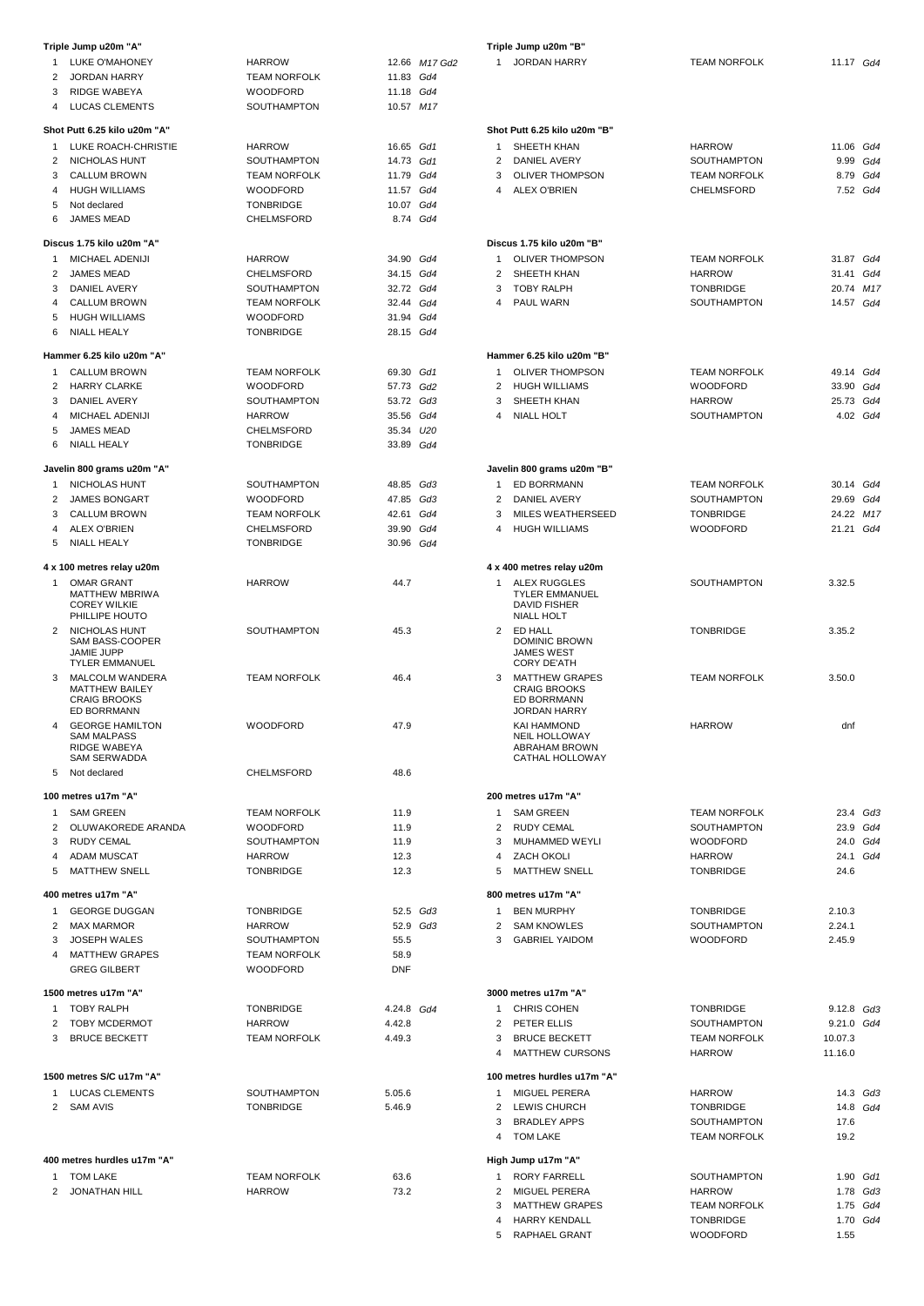|                | Triple Jump u20m "A"                                                         |                                        |                        |               |
|----------------|------------------------------------------------------------------------------|----------------------------------------|------------------------|---------------|
| 1              | LUKE O'MAHONEY                                                               | <b>HARROW</b>                          |                        | 12.66 M17 Gd2 |
| $\overline{2}$ | <b>JORDAN HARRY</b>                                                          | <b>TEAM NORFOLK</b>                    | 11.83 Gd4              |               |
| 3              | <b>RIDGE WABEYA</b>                                                          | <b>WOODFORD</b>                        | 11.18 Gd4              |               |
| 4              | <b>LUCAS CLEMENTS</b>                                                        | <b>SOUTHAMPTON</b>                     | 10.57 M17              |               |
| $\mathbf{1}$   | Shot Putt 6.25 kilo u20m "A"<br>LUKE ROACH-CHRISTIE                          |                                        | 16.65 Gd1              |               |
| $\overline{2}$ | NICHOLAS HUNT                                                                | <b>HARROW</b><br>SOUTHAMPTON           | 14.73 Gd1              |               |
| 3              | <b>CALLUM BROWN</b>                                                          | <b>TEAM NORFOLK</b>                    | 11.79 Gd4              |               |
| 4              | <b>HUGH WILLIAMS</b>                                                         | <b>WOODFORD</b>                        | 11.57 Gd4              |               |
| 5              | Not declared                                                                 | <b>TONBRIDGE</b>                       | 10.07 Gd4              |               |
| 6              | <b>JAMES MEAD</b>                                                            | CHELMSFORD                             | 8.74 Gd4               |               |
|                | Discus 1.75 kilo u20m "A"                                                    |                                        |                        |               |
| 1              | MICHAEL ADENIJI                                                              | <b>HARROW</b>                          | 34.90 Gd4              |               |
| 2              | <b>JAMES MEAD</b>                                                            | <b>CHELMSFORD</b>                      | 34.15 Gd4              |               |
| 3              | DANIEL AVERY                                                                 | SOUTHAMPTON                            | 32.72 Gd4              |               |
| 4              | <b>CALLUM BROWN</b>                                                          | <b>TEAM NORFOLK</b>                    | 32.44 Gd4              |               |
| 5<br>6         | <b>HUGH WILLIAMS</b><br><b>NIALL HEALY</b>                                   | <b>WOODFORD</b><br><b>TONBRIDGE</b>    | 31.94 Gd4<br>28.15 Gd4 |               |
|                |                                                                              |                                        |                        |               |
|                | Hammer 6.25 kilo u20m "A"                                                    |                                        |                        |               |
| 1<br>2         | CALLUM BROWN<br><b>HARRY CLARKE</b>                                          | <b>TEAM NORFOLK</b><br><b>WOODFORD</b> | 69.30 Gd1              |               |
| 3              | <b>DANIEL AVERY</b>                                                          | <b>SOUTHAMPTON</b>                     | 57.73 Gd2<br>53.72 Gd3 |               |
| 4              | <b>MICHAEL ADENIJI</b>                                                       | <b>HARROW</b>                          | 35.56 Gd4              |               |
| 5              | <b>JAMES MEAD</b>                                                            | <b>CHELMSFORD</b>                      | 35.34 U20              |               |
| 6              | <b>NIALL HEALY</b>                                                           | TONBRIDGE                              | 33.89 Gd4              |               |
|                |                                                                              |                                        |                        |               |
| 1              | Javelin 800 grams u20m "A"<br>NICHOLAS HUNT                                  | <b>SOUTHAMPTON</b>                     | 48.85 Gd3              |               |
| $\overline{2}$ | <b>JAMES BONGART</b>                                                         | <b>WOODFORD</b>                        | 47.85 Gd3              |               |
| 3              | <b>CALLUM BROWN</b>                                                          | <b>TEAM NORFOLK</b>                    | 42.61                  | Gd4           |
| 4              | <b>ALEX O'BRIEN</b>                                                          | CHELMSFORD                             | 39.90 Gd4              |               |
| 5              | <b>NIALL HEALY</b>                                                           | <b>TONBRIDGE</b>                       | 30.96 Gd4              |               |
|                | 4 x 100 metres relay u20m                                                    |                                        |                        |               |
| 1              | <b>OMAR GRANT</b>                                                            | <b>HARROW</b>                          | 44.7                   |               |
|                | MATTHEW MBRIWA<br><b>COREY WILKIE</b><br>PHILLIPE HOUTO                      |                                        |                        |               |
| 2              | NICHOLAS HUNT<br>SAM BASS-COOPER<br>JAMIE JUPP                               | SOUTHAMPTON                            | 45.3                   |               |
|                | <b>TYLER EMMANUEL</b>                                                        |                                        |                        |               |
| 3              | <b>MALCOLM WANDERA</b><br><b>MATTHEW BAILEY</b><br><b>CRAIG BROOKS</b>       | <b>TEAM NORFOLK</b>                    | 46.4                   |               |
|                | ED BORRMANN                                                                  |                                        |                        |               |
| 4              | <b>GEORGE HAMILTON</b><br><b>SAM MALPASS</b><br>RIDGE WABEYA<br>SAM SERWADDA | <b>WOODFORD</b>                        | 47.9                   |               |
| 5              | Not declared                                                                 | CHELMSFORD                             | 48.6                   |               |
|                | 100 metres u17m "A"                                                          |                                        |                        |               |
| 1              | <b>SAM GREEN</b>                                                             | <b>TEAM NORFOLK</b>                    | 11.9                   |               |
| $\overline{2}$ | OLUWAKOREDE ARANDA                                                           | <b>WOODFORD</b>                        | 11.9                   |               |
| 3              | <b>RUDY CEMAL</b>                                                            | <b>SOUTHAMPTON</b>                     | 11.9                   |               |
|                | 4 ADAM MUSCAT                                                                | HARROW                                 | 12.3                   |               |
| 5              | <b>MATTHEW SNELL</b>                                                         | <b>TONBRIDGE</b>                       | 12.3                   |               |
|                | 400 metres u17m "A"                                                          |                                        |                        |               |
| $\mathbf{1}$   | <b>GEORGE DUGGAN</b>                                                         | <b>TONBRIDGE</b>                       | 52.5 Gd3               |               |
| $\overline{2}$ | <b>MAX MARMOR</b>                                                            | <b>HARROW</b>                          | 52.9 Gd3               |               |
| 3              | <b>JOSEPH WALES</b>                                                          | SOUTHAMPTON                            | 55.5                   |               |
| 4              | <b>MATTHEW GRAPES</b>                                                        | <b>TEAM NORFOLK</b>                    | 58.9                   |               |
|                | <b>GREG GILBERT</b>                                                          | <b>WOODFORD</b>                        | <b>DNF</b>             |               |
|                | 1500 metres u17m "A"                                                         |                                        |                        |               |
| $\mathbf{1}$   | <b>TOBY RALPH</b>                                                            | <b>TONBRIDGE</b>                       | 4.24.8 Gd4             |               |
|                | 2 TOBY MCDERMOT                                                              | HARROW                                 | 4.42.8                 |               |
| 3              | <b>BRUCE BECKETT</b>                                                         | <b>TEAM NORFOLK</b>                    | 4.49.3                 |               |
|                |                                                                              |                                        |                        |               |
| 1              | 1500 metres S/C u17m "A"                                                     |                                        |                        |               |
| $\mathbf{2}$   | <b>LUCAS CLEMENTS</b><br><b>SAM AVIS</b>                                     | SOUTHAMPTON<br>TONBRIDGE               | 5.05.6<br>5.46.9       |               |
|                |                                                                              |                                        |                        |               |
|                | 400 metres hurdles u17m "A"                                                  |                                        |                        |               |
| 1              | <b>TOM LAKE</b>                                                              | <b>TEAM NORFOLK</b>                    | 63.6                   |               |
| $\overline{2}$ | <b>JONATHAN HILL</b>                                                         | HARROW                                 | 73.2                   |               |
|                |                                                                              |                                        |                        |               |

|                | Triple Jump u20m "B"                       |                     |              |          |  |  |  |
|----------------|--------------------------------------------|---------------------|--------------|----------|--|--|--|
| 1              | <b>JORDAN HARRY</b>                        | <b>TEAM NORFOLK</b> | 11.17 Gd4    |          |  |  |  |
|                |                                            |                     |              |          |  |  |  |
|                |                                            |                     |              |          |  |  |  |
|                |                                            |                     |              |          |  |  |  |
|                | Shot Putt 6.25 kilo u20m "B"               |                     |              |          |  |  |  |
| 1              | SHEETH KHAN                                | <b>HARROW</b>       | 11.06 Gd4    |          |  |  |  |
| $\overline{2}$ | DANIEL AVERY                               | <b>SOUTHAMPTON</b>  |              | 9.99 Gd4 |  |  |  |
| 3              | <b>OLIVER THOMPSON</b>                     | <b>TEAM NORFOLK</b> |              | 8.79 Gd4 |  |  |  |
| 4              | <b>ALEX O'BRIEN</b>                        | <b>CHELMSFORD</b>   |              | 7.52 Gd4 |  |  |  |
|                |                                            |                     |              |          |  |  |  |
|                |                                            |                     |              |          |  |  |  |
|                | Discus 1.75 kilo u20m "B"                  |                     |              |          |  |  |  |
| 1              | <b>OLIVER THOMPSON</b>                     | <b>TEAM NORFOLK</b> | 31.87 Gd4    |          |  |  |  |
| $\overline{2}$ | SHEETH KHAN                                | <b>HARROW</b>       | 31.41 Gd4    |          |  |  |  |
| 3              | TOBY RALPH                                 | <b>TONBRIDGE</b>    | 20.74 M17    |          |  |  |  |
| 4              | PAUL WARN                                  | SOUTHAMPTON         | 14.57 Gd4    |          |  |  |  |
|                |                                            |                     |              |          |  |  |  |
|                |                                            |                     |              |          |  |  |  |
|                | Hammer 6.25 kilo u20m "B"                  |                     |              |          |  |  |  |
| 1              | <b>OLIVER THOMPSON</b>                     | <b>TEAM NORFOLK</b> | 49.14 Gd4    |          |  |  |  |
| $\overline{2}$ | <b>HUGH WILLIAMS</b>                       | <b>WOODFORD</b>     | 33.90 Gd4    |          |  |  |  |
| 3              | SHEETH KHAN                                | <b>HARROW</b>       | 25.73 Gd4    |          |  |  |  |
| 4              | <b>NIALL HOLT</b>                          | SOUTHAMPTON         |              | 4.02 Gd4 |  |  |  |
|                |                                            |                     |              |          |  |  |  |
|                |                                            |                     |              |          |  |  |  |
|                | Javelin 800 grams u20m "B"                 |                     |              |          |  |  |  |
| 1              | ED BORRMANN                                | <b>TEAM NORFOLK</b> | 30.14 Gd4    |          |  |  |  |
| $\overline{2}$ | DANIEL AVERY                               | SOUTHAMPTON         | 29.69 Gd4    |          |  |  |  |
| 3              | <b>MILES WEATHERSEED</b>                   | <b>TONBRIDGE</b>    | 24.22 M17    |          |  |  |  |
| 4              | <b>HUGH WILLIAMS</b>                       | <b>WOODFORD</b>     | 21.21 Gd4    |          |  |  |  |
|                |                                            |                     |              |          |  |  |  |
|                | 4 x 400 metres relay u20m                  |                     |              |          |  |  |  |
| 1              | ALEX RUGGLES                               | SOUTHAMPTON         | 3.32.5       |          |  |  |  |
|                | <b>TYLER EMMANUEL</b>                      |                     |              |          |  |  |  |
|                | <b>DAVID FISHER</b><br><b>NIALL HOLT</b>   |                     |              |          |  |  |  |
| 2              | ED HALL                                    | <b>TONBRIDGE</b>    | 3.35.2       |          |  |  |  |
|                | <b>DOMINIC BROWN</b>                       |                     |              |          |  |  |  |
|                | <b>JAMES WEST</b><br><b>CORY DE'ATH</b>    |                     |              |          |  |  |  |
| 3              | <b>MATTHEW GRAPES</b>                      | <b>TEAM NORFOLK</b> | 3.50.0       |          |  |  |  |
|                | <b>CRAIG BROOKS</b>                        |                     |              |          |  |  |  |
|                | ED BORRMANN                                |                     |              |          |  |  |  |
|                | <b>JORDAN HARRY</b>                        | <b>HARROW</b>       |              |          |  |  |  |
|                | <b>KAI HAMMOND</b><br><b>NEIL HOLLOWAY</b> |                     | dnf          |          |  |  |  |
|                | <b>ABRAHAM BROWN</b>                       |                     |              |          |  |  |  |
|                | CATHAL HOLLOWAY                            |                     |              |          |  |  |  |
|                |                                            |                     |              |          |  |  |  |
|                | 200 metres u17m "A"                        |                     |              |          |  |  |  |
| 1              | <b>SAM GREEN</b>                           | <b>TEAM NORFOLK</b> |              | 23.4 Gd3 |  |  |  |
| $\overline{2}$ | <b>RUDY CEMAL</b>                          | <b>SOUTHAMPTON</b>  |              | 23.9 Gd4 |  |  |  |
| 3              | MUHAMMED WEYLI                             | <b>WOODFORD</b>     |              | 24.0 Gd4 |  |  |  |
| 4              | ZACH OKOLI                                 | HARROW              |              | 24.1 Gd4 |  |  |  |
| 5              | <b>MATTHEW SNELL</b>                       | <b>TONBRIDGE</b>    | 24.6         |          |  |  |  |
|                | 800 metres u17m "A"                        |                     |              |          |  |  |  |
| $\mathbf{1}$   | <b>BEN MURPHY</b>                          | <b>TONBRIDGE</b>    | 2.10.3       |          |  |  |  |
| $\mathbf{2}$   | <b>SAM KNOWLES</b>                         | SOUTHAMPTON         | 2.24.1       |          |  |  |  |
| 3              | <b>GABRIEL YAIDOM</b>                      | <b>WOODFORD</b>     | 2.45.9       |          |  |  |  |
|                |                                            |                     |              |          |  |  |  |
|                |                                            |                     |              |          |  |  |  |
|                | 3000 metres u17m "A"                       |                     |              |          |  |  |  |
| 1              | <b>CHRIS COHEN</b>                         | <b>TONBRIDGE</b>    | $9.12.8$ Gd3 |          |  |  |  |
|                | 2 PETER ELLIS                              | SOUTHAMPTON         | 9.21.0 Gd4   |          |  |  |  |
| 3              | <b>BRUCE BECKETT</b>                       | <b>TEAM NORFOLK</b> | 10.07.3      |          |  |  |  |
| 4              | <b>MATTHEW CURSONS</b>                     | <b>HARROW</b>       | 11.16.0      |          |  |  |  |
|                |                                            |                     |              |          |  |  |  |
|                | 100 metres hurdles u17m "A"                |                     |              |          |  |  |  |
| 1              | MIGUEL PERERA                              | <b>HARROW</b>       |              | 14.3 Gd3 |  |  |  |
| $\mathbf{2}$   | LEWIS CHURCH                               | <b>TONBRIDGE</b>    |              | 14.8 Gd4 |  |  |  |
| 3              | <b>BRADLEY APPS</b>                        | SOUTHAMPTON         | 17.6         |          |  |  |  |
| 4              | <b>TOM LAKE</b>                            | <b>TEAM NORFOLK</b> | 19.2         |          |  |  |  |
|                | High Jump u17m "A"                         |                     |              |          |  |  |  |
| 1              | <b>RORY FARRELL</b>                        | SOUTHAMPTON         |              | 1.90 Gd1 |  |  |  |
| $\overline{2}$ | MIGUEL PERERA                              | <b>HARROW</b>       |              | 1.78 Gd3 |  |  |  |
| 3              | <b>MATTHEW GRAPES</b>                      | <b>TEAM NORFOLK</b> |              | 1.75 Gd4 |  |  |  |
| 4              | <b>HARRY KENDALL</b>                       | <b>TONBRIDGE</b>    |              | 1.70 Gd4 |  |  |  |
| 5              | RAPHAEL GRANT                              | <b>WOODFORD</b>     | 1.55         |          |  |  |  |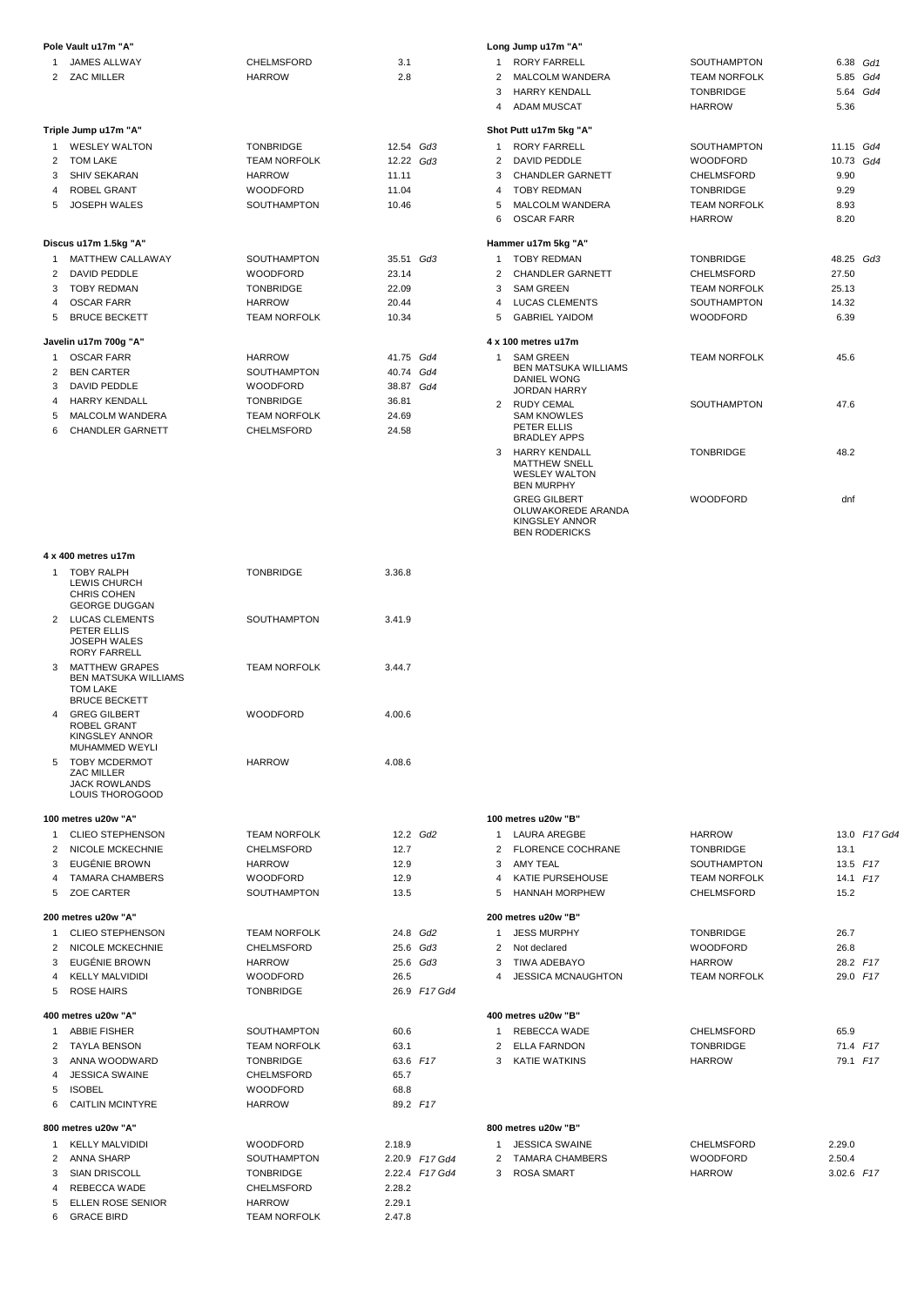|                | Pole Vault u17m "A"                           |                                         |                |                |
|----------------|-----------------------------------------------|-----------------------------------------|----------------|----------------|
| 1              | <b>JAMES ALLWAY</b>                           | <b>CHELMSFORD</b>                       | 3.1            |                |
| $\overline{2}$ | ZAC MILLER                                    | <b>HARROW</b>                           | 2.8            |                |
|                |                                               |                                         |                |                |
|                |                                               |                                         |                |                |
|                | Triple Jump u17m "A"                          |                                         |                |                |
| 1              | <b>WESLEY WALTON</b>                          | <b>TONBRIDGE</b>                        | 12.54 Gd3      |                |
| $\overline{2}$ | <b>TOM LAKE</b>                               | <b>TEAM NORFOLK</b>                     | 12.22 Gd3      |                |
| 3              | <b>SHIV SEKARAN</b>                           | <b>HARROW</b>                           | 11.11          |                |
| 4              | <b>ROBEL GRANT</b>                            | <b>WOODFORD</b>                         | 11.04          |                |
| 5              | <b>JOSEPH WALES</b>                           | <b>SOUTHAMPTON</b>                      | 10.46          |                |
|                |                                               |                                         |                |                |
|                | Discus u17m 1.5kg "A"                         |                                         |                |                |
| 1              | MATTHEW CALLAWAY                              | SOUTHAMPTON                             | 35.51 Gd3      |                |
| 2              | <b>DAVID PEDDLE</b>                           | <b>WOODFORD</b>                         | 23.14          |                |
| 3<br>4         | <b>TOBY REDMAN</b><br><b>OSCAR FARR</b>       | <b>TONBRIDGE</b><br><b>HARROW</b>       | 22.09<br>20.44 |                |
| 5              | <b>BRUCE BECKETT</b>                          | <b>TEAM NORFOLK</b>                     | 10.34          |                |
|                |                                               |                                         |                |                |
|                | Javelin u17m 700g "A"                         |                                         |                |                |
| 1              | <b>OSCAR FARR</b>                             | <b>HARROW</b>                           | 41.75 Gd4      |                |
| $\overline{2}$ | <b>BEN CARTER</b>                             | SOUTHAMPTON                             | 40.74          | Gd4            |
| 3              | DAVID PEDDLE<br><b>HARRY KENDALL</b>          | <b>WOODFORD</b>                         | 38.87 Gd4      |                |
| 4<br>5         | MALCOLM WANDERA                               | <b>TONBRIDGE</b><br><b>TEAM NORFOLK</b> | 36.81<br>24.69 |                |
| 6              | <b>CHANDLER GARNETT</b>                       | <b>CHELMSFORD</b>                       | 24.58          |                |
|                |                                               |                                         |                |                |
|                |                                               |                                         |                |                |
|                |                                               |                                         |                |                |
|                |                                               |                                         |                |                |
|                |                                               |                                         |                |                |
|                |                                               |                                         |                |                |
|                |                                               |                                         |                |                |
|                | 4 x 400 metres u17m                           |                                         |                |                |
| 1              | <b>TOBY RALPH</b>                             | <b>TONBRIDGE</b>                        | 3.36.8         |                |
|                | LEWIS CHURCH                                  |                                         |                |                |
|                | <b>CHRIS COHEN</b><br><b>GEORGE DUGGAN</b>    |                                         |                |                |
| 2              | <b>LUCAS CLEMENTS</b>                         | SOUTHAMPTON                             | 3.41.9         |                |
|                | PETER ELLIS                                   |                                         |                |                |
|                | <b>JOSEPH WALES</b><br><b>RORY FARRELL</b>    |                                         |                |                |
| 3              | <b>MATTHEW GRAPES</b>                         | <b>TEAM NORFOLK</b>                     | 3.44.7         |                |
|                | <b>BEN MATSUKA WILLIAMS</b>                   |                                         |                |                |
|                | TOM LAKE<br><b>BRUCE BECKETT</b>              |                                         |                |                |
| 4              | <b>GREG GILBERT</b>                           | <b>WOODFORD</b>                         | 4.00.6         |                |
|                | <b>ROBEL GRANT</b>                            |                                         |                |                |
|                | KINGSLEY ANNOR                                |                                         |                |                |
| 5              | <b>MUHAMMED WEYLI</b><br><b>TOBY MCDERMOT</b> | <b>HARROW</b>                           | 4.08.6         |                |
|                | ZAC MILLER                                    |                                         |                |                |
|                | <b>JACK ROWLANDS</b>                          |                                         |                |                |
|                | LOUIS THOROGOOD                               |                                         |                |                |
|                | 100 metres u20w "A"                           |                                         |                |                |
| 1              | <b>CLIEO STEPHENSON</b>                       | <b>TEAM NORFOLK</b>                     | 12.2 Gd2       |                |
| $\mathbf{2}$   | NICOLE MCKECHNIE                              | CHELMSFORD                              | 12.7           |                |
| 3              | EUGÉNIE BROWN                                 | <b>HARROW</b>                           | 12.9           |                |
| 4              | <b>TAMARA CHAMBERS</b>                        | <b>WOODFORD</b>                         | 12.9           |                |
| 5              | <b>ZOE CARTER</b>                             | SOUTHAMPTON                             | 13.5           |                |
|                | 200 metres u20w "A"                           |                                         |                |                |
| 1              | <b>CLIEO STEPHENSON</b>                       | <b>TEAM NORFOLK</b>                     | 24.8 Gd2       |                |
| 2              | NICOLE MCKECHNIE                              | CHELMSFORD                              |                | 25.6 Gd3       |
| 3              | EUGÉNIE BROWN                                 | <b>HARROW</b>                           | 25.6 Gd3       |                |
| 4              | <b>KELLY MALVIDIDI</b>                        | <b>WOODFORD</b>                         | 26.5           |                |
| 5              | <b>ROSE HAIRS</b>                             | <b>TONBRIDGE</b>                        |                | 26.9 F17 Gd4   |
|                | 400 metres u20w "A"                           |                                         |                |                |
| 1              | <b>ABBIE FISHER</b>                           | SOUTHAMPTON                             | 60.6           |                |
| 2              | <b>TAYLA BENSON</b>                           | <b>TEAM NORFOLK</b>                     | 63.1           |                |
| 3              | ANNA WOODWARD                                 | <b>TONBRIDGE</b>                        | 63.6 F17       |                |
| 4              | <b>JESSICA SWAINE</b>                         | CHELMSFORD                              | 65.7           |                |
| 5              | <b>ISOBEL</b>                                 | <b>WOODFORD</b>                         | 68.8           |                |
| 6              | <b>CAITLIN MCINTYRE</b>                       | <b>HARROW</b>                           | 89.2 F17       |                |
|                | 800 metres u20w "A"                           |                                         |                |                |
| 1              | <b>KELLY MALVIDIDI</b>                        | <b>WOODFORD</b>                         | 2.18.9         |                |
| 2              | <b>ANNA SHARP</b>                             | SOUTHAMPTON                             |                | 2.20.9 F17 Gd4 |
| 3              | <b>SIAN DRISCOLL</b>                          | <b>TONBRIDGE</b>                        |                | 2.22.4 F17 Gd4 |
| 4              | REBECCA WADE                                  | CHELMSFORD                              | 2.28.2         |                |
| 5              | ELLEN ROSE SENIOR                             | HARROW                                  | 2.29.1         |                |
| 6              | <b>GRACE BIRD</b>                             | <b>TEAM NORFOLK</b>                     | 2.47.8         |                |

|                | Long Jump u17m "A"                                                                           |                     |             |          |
|----------------|----------------------------------------------------------------------------------------------|---------------------|-------------|----------|
| 1              | <b>RORY FARRELL</b>                                                                          | <b>SOUTHAMPTON</b>  | 6.38 Gd1    |          |
| $\overline{2}$ | MALCOLM WANDERA                                                                              | <b>TEAM NORFOLK</b> |             | 5.85 Gd4 |
|                | 3 HARRY KENDALL                                                                              | <b>TONBRIDGE</b>    |             | 5.64 Gd4 |
|                | 4 ADAM MUSCAT                                                                                | <b>HARROW</b>       | 5.36        |          |
|                | Shot Putt u17m 5kg "A"                                                                       |                     |             |          |
| 1              | <b>RORY FARRELL</b>                                                                          | <b>SOUTHAMPTON</b>  | $11.15$ Gd4 |          |
| $\mathcal{P}$  | DAVID PEDDLE                                                                                 | <b>WOODFORD</b>     | 10.73 Gd4   |          |
| 3              | CHANDLER GARNETT                                                                             | CHELMSFORD          | 9.90        |          |
| $\overline{4}$ | <b>TOBY REDMAN</b>                                                                           | <b>TONBRIDGE</b>    | 9.29        |          |
| 5              | MALCOLM WANDERA                                                                              | <b>TEAM NORFOLK</b> | 8.93        |          |
| 6.             | <b>OSCAR FARR</b>                                                                            | <b>HARROW</b>       | 8.20        |          |
|                | Hammer u17m 5kg "A"                                                                          |                     |             |          |
| 1              | <b>TOBY REDMAN</b>                                                                           | <b>TONBRIDGE</b>    | 48.25 Gd3   |          |
| $\overline{2}$ | CHANDLER GARNETT                                                                             | CHELMSFORD          | 27.50       |          |
|                | 3 SAM GREEN                                                                                  | <b>TEAM NORFOLK</b> | 25.13       |          |
|                | 4 LUCAS CLEMENTS                                                                             | <b>SOUTHAMPTON</b>  | 14.32       |          |
| 5              | <b>GABRIEL YAIDOM</b>                                                                        | <b>WOODFORD</b>     | 6.39        |          |
|                | 4 x 100 metres u17m                                                                          |                     |             |          |
| 1              | <b>SAM GREEN</b><br><b>BEN MATSUKA WILLIAMS</b><br><b>DANIEL WONG</b><br><b>JORDAN HARRY</b> | <b>TEAM NORFOLK</b> | 45.6        |          |
| $\overline{2}$ | <b>RUDY CEMAL</b><br><b>SAM KNOWLES</b><br>PETER ELLIS<br><b>BRADLEY APPS</b>                | <b>SOUTHAMPTON</b>  | 47.6        |          |
| 3              | <b>HARRY KENDALL</b><br><b>MATTHEW SNELL</b><br><b>WESLEY WALTON</b><br><b>BEN MURPHY</b>    | <b>TONBRIDGE</b>    | 48.2        |          |
|                | <b>GREG GILBERT</b><br>OLUWAKOREDE ARANDA<br>KINGSLEY ANNOR<br><b>BEN RODERICKS</b>          | <b>WOODFORD</b>     | dnf         |          |

**100 metres u20w "B"**

| 1             | <b>LAURA AREGBE</b>      | <b>HARROW</b>       | 13.0 F17 Gd4 |
|---------------|--------------------------|---------------------|--------------|
| $\mathcal{P}$ | <b>FLORENCE COCHRANE</b> | <b>TONBRIDGE</b>    | 13.1         |
| 3             | <b>AMY TEAL</b>          | <b>SOUTHAMPTON</b>  | $13.5$ $F17$ |
| 4             | KATIE PURSEHOUSE         | <b>TEAM NORFOLK</b> | 14.1 F17     |
| 5             | <b>HANNAH MORPHEW</b>    | <b>CHELMSFORD</b>   | 15.2         |
|               | 200 metres u20w "B"      |                     |              |
| 1             | <b>JESS MURPHY</b>       | <b>TONBRIDGE</b>    | 26.7         |
| $\mathcal{P}$ | Not declared             | <b>WOODFORD</b>     | 26.8         |
| 3             | TIWA ADEBAYO             | <b>HARROW</b>       | 28.2 F17     |
| 4             | JESSICA MCNAUGHTON       | <b>TEAM NORFOLK</b> | 29.0 F17     |
|               | 400 metres u20w "B"      |                     |              |
| 1             | <b>REBECCA WADE</b>      | <b>CHELMSFORD</b>   | 65.9         |
| $\mathcal{P}$ | <b>ELLA FARNDON</b>      | <b>TONBRIDGE</b>    | 71.4 F17     |
| 3             | <b>KATIE WATKINS</b>     | <b>HARROW</b>       | 79.1 F17     |
|               |                          |                     |              |
|               |                          |                     |              |
|               | 800 metres u20w "B"      |                     |              |
| 1             | <b>JESSICA SWAINE</b>    | <b>CHELMSFORD</b>   | 2.29.0       |

|  | JEJJIUM JWAIINE   | <b>UNELIVIOFURD</b> | 2.29.0       |  |
|--|-------------------|---------------------|--------------|--|
|  | 2 TAMARA CHAMBERS | <b>WOODFORD</b>     | 2.50.4       |  |
|  | 3 ROSA SMART      | <b>HARROW</b>       | $3.02.6$ F17 |  |
|  |                   |                     |              |  |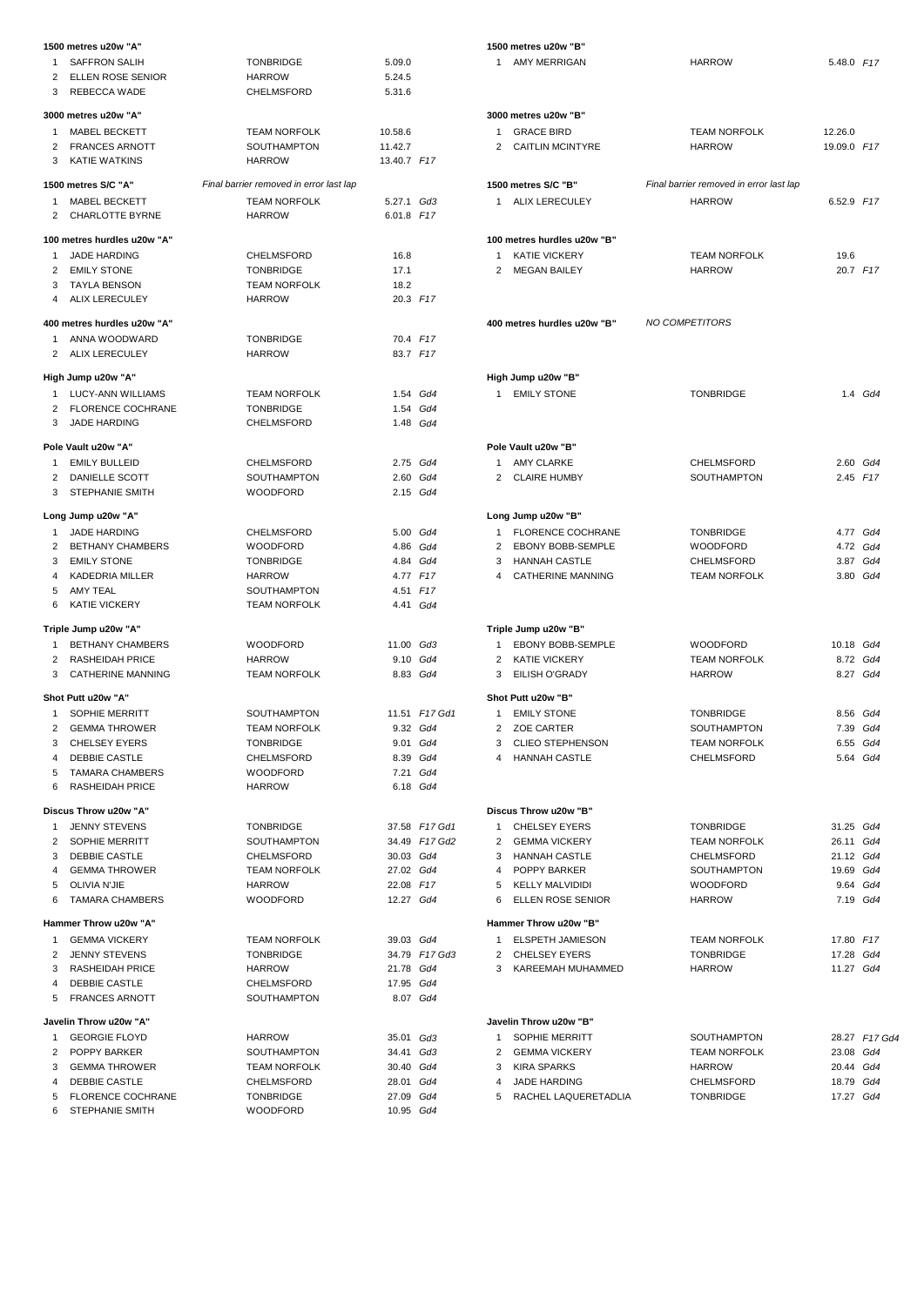|                | 1500 metres u20w "A"        |                                         |               |               |
|----------------|-----------------------------|-----------------------------------------|---------------|---------------|
| 1              | <b>SAFFRON SALIH</b>        | <b>TONBRIDGE</b>                        | 5.09.0        |               |
| $\overline{2}$ | <b>ELLEN ROSE SENIOR</b>    | <b>HARROW</b>                           | 5.24.5        |               |
| 3              | REBECCA WADE                | CHELMSFORD                              | 5.31.6        |               |
|                |                             |                                         |               |               |
|                | 3000 metres u20w "A"        |                                         |               |               |
| $\mathbf{1}$   | MABEL BECKETT               | <b>TEAM NORFOLK</b>                     | 10.58.6       |               |
| $\overline{2}$ | <b>FRANCES ARNOTT</b>       | <b>SOUTHAMPTON</b>                      | 11.42.7       |               |
| 3              | <b>KATIE WATKINS</b>        | <b>HARROW</b>                           | 13.40.7 F17   |               |
|                |                             |                                         |               |               |
|                | 1500 metres S/C "A"         | Final barrier removed in error last lap |               |               |
| $\mathbf{1}$   | <b>MABEL BECKETT</b>        | <b>TEAM NORFOLK</b>                     | 5.27.1 Gd3    |               |
| $\overline{2}$ | <b>CHARLOTTE BYRNE</b>      | <b>HARROW</b>                           | 6.01.8 F17    |               |
|                |                             |                                         |               |               |
|                | 100 metres hurdles u20w "A" |                                         |               |               |
| 1              | <b>JADE HARDING</b>         | CHELMSFORD                              | 16.8          |               |
|                | 2 EMILY STONE               | <b>TONBRIDGE</b>                        | 17.1          |               |
| 3              | <b>TAYLA BENSON</b>         | <b>TEAM NORFOLK</b>                     | 18.2          |               |
| $\overline{4}$ | ALIX LERECULEY              | <b>HARROW</b>                           | 20.3 F17      |               |
|                |                             |                                         |               |               |
|                | 400 metres hurdles u20w "A" |                                         |               |               |
| 1              | ANNA WOODWARD               | <b>TONBRIDGE</b>                        | 70.4 F17      |               |
|                | 2 ALIX LERECULEY            | <b>HARROW</b>                           | 83.7 F17      |               |
|                |                             |                                         |               |               |
|                | High Jump u20w "A"          |                                         |               |               |
| 1              | LUCY-ANN WILLIAMS           | <b>TEAM NORFOLK</b>                     |               | 1.54 Gd4      |
| $\overline{2}$ | <b>FLORENCE COCHRANE</b>    | <b>TONBRIDGE</b>                        |               | 1.54 Gd4      |
| 3              | <b>JADE HARDING</b>         | <b>CHELMSFORD</b>                       |               | 1.48 Gd4      |
|                |                             |                                         |               |               |
|                | Pole Vault u20w "A"         |                                         |               |               |
| $1 \quad$      | <b>EMILY BULLEID</b>        | CHELMSFORD                              | 2.75 Gd4      |               |
|                | 2 DANIELLE SCOTT            | SOUTHAMPTON                             | 2.60 Gd4      |               |
| 3              | <b>STEPHANIE SMITH</b>      | <b>WOODFORD</b>                         | 2.15 Gd4      |               |
|                |                             |                                         |               |               |
|                | Long Jump u20w "A"          |                                         |               |               |
| 1              | JADE HARDING                | CHELMSFORD                              |               | 5.00 Gd4      |
| $\overline{2}$ | <b>BETHANY CHAMBERS</b>     | <b>WOODFORD</b>                         |               | 4.86 Gd4      |
| 3              | <b>EMILY STONE</b>          | <b>TONBRIDGE</b>                        |               | 4.84 Gd4      |
| $\overline{4}$ | KADEDRIA MILLER             | <b>HARROW</b>                           | 4.77 F17      |               |
| 5              | AMY TEAL                    | <b>SOUTHAMPTON</b>                      | 4.51 F17      |               |
| 6              | <b>KATIE VICKERY</b>        | <b>TEAM NORFOLK</b>                     |               | 4.41 Gd4      |
|                |                             |                                         |               |               |
|                | Triple Jump u20w "A"        |                                         |               |               |
| $1 \quad$      | <b>BETHANY CHAMBERS</b>     | <b>WOODFORD</b>                         | $11.00$ $Gd3$ |               |
|                | 2 RASHEIDAH PRICE           |                                         |               |               |
|                |                             | <b>HARROW</b>                           |               | 9.10 Gd4      |
| 3              | <b>CATHERINE MANNING</b>    | <b>TEAM NORFOLK</b>                     | 8.83 Gd4      |               |
|                | Shot Putt u20w "A"          |                                         |               |               |
| 1              | <b>SOPHIE MERRITT</b>       | SOUTHAMPTON                             |               | 11.51 F17 Gd1 |
| $\overline{2}$ |                             |                                         |               |               |
|                | <b>GEMMA THROWER</b>        | <b>TEAM NORFOLK</b>                     | 9.32 Gd4      |               |
| 3              | <b>CHELSEY EYERS</b>        | <b>TONBRIDGE</b>                        |               | 9.01 Gd4      |
| 4              | DEBBIE CASTLE               | <b>CHELMSFORD</b>                       |               | 8.39 Gd4      |
| 5              | <b>TAMARA CHAMBERS</b>      | <b>WOODFORD</b>                         |               | 7.21 Gd4      |
| 6              | <b>RASHEIDAH PRICE</b>      | <b>HARROW</b>                           |               | 6.18 Gd4      |
|                |                             |                                         |               |               |
|                | Discus Throw u20w "A"       |                                         |               |               |
| $\mathbf{1}$   | <b>JENNY STEVENS</b>        | <b>TONBRIDGE</b>                        |               | 37.58 F17 Gd1 |
| $\overline{2}$ | <b>SOPHIE MERRITT</b>       | SOUTHAMPTON                             |               | 34.49 F17 Gd2 |
| 3              | DEBBIE CASTLE               | CHELMSFORD                              | 30.03 Gd4     |               |
| 4              | <b>GEMMA THROWER</b>        | <b>TEAM NORFOLK</b>                     | 27.02 Gd4     |               |
| 5              | OLIVIA N'JIE                | HARROW                                  | 22.08 F17     |               |
| 6              | <b>TAMARA CHAMBERS</b>      | <b>WOODFORD</b>                         | 12.27 Gd4     |               |
|                |                             |                                         |               |               |
|                | Hammer Throw u20w "A"       |                                         |               |               |
| 1              | <b>GEMMA VICKERY</b>        | <b>TEAM NORFOLK</b>                     | 39.03 Gd4     |               |
| $\overline{2}$ | <b>JENNY STEVENS</b>        | <b>TONBRIDGE</b>                        |               | 34.79 F17 Gd3 |
| 3              | <b>RASHEIDAH PRICE</b>      | HARROW                                  | 21.78 Gd4     |               |
| 4              | DEBBIE CASTLE               | CHELMSFORD                              | 17.95 Gd4     |               |
| 5              | <b>FRANCES ARNOTT</b>       | SOUTHAMPTON                             | 8.07 Gd4      |               |
|                |                             |                                         |               |               |
|                | Javelin Throw u20w "A"      |                                         |               |               |
| 1              | <b>GEORGIE FLOYD</b>        | HARROW                                  | 35.01 Gd3     |               |
| $\overline{2}$ | POPPY BARKER                | SOUTHAMPTON                             | 34.41 Gd3     |               |
| 3              | <b>GEMMA THROWER</b>        | <b>TEAM NORFOLK</b>                     | 30.40 Gd4     |               |
| $\overline{4}$ | DEBBIE CASTLE               | CHELMSFORD                              |               |               |
|                |                             |                                         | 28.01 Gd4     |               |
| 5              | <b>FLORENCE COCHRANE</b>    | <b>TONBRIDGE</b>                        | 27.09 Gd4     |               |
|                | 6 STEPHANIE SMITH           | WOODFORD                                | 10.95 Gd4     |               |

|              | 1500 metres u20w "B"                          |                                         |                        |               |
|--------------|-----------------------------------------------|-----------------------------------------|------------------------|---------------|
| $\mathbf{1}$ | AMY MERRIGAN                                  | <b>HARROW</b>                           | 5.48.0 F17             |               |
|              | 3000 metres u20w "B"                          |                                         |                        |               |
|              | 1 GRACE BIRD                                  | <b>TEAM NORFOLK</b>                     | 12.26.0                |               |
|              | 2 CAITLIN MCINTYRE                            | <b>HARROW</b>                           | 19.09.0 F17            |               |
|              | 1500 metres S/C "B"                           | Final barrier removed in error last lap |                        |               |
|              | 1 ALIX LERECULEY                              | <b>HARROW</b>                           | 6.52.9 F17             |               |
|              | 100 metres hurdles u20w "B"                   |                                         |                        |               |
|              | 1 KATIE VICKERY                               | <b>TEAM NORFOLK</b>                     | 19.6                   |               |
|              | 2 MEGAN BAILEY                                | <b>HARROW</b>                           | 20.7 F17               |               |
|              | 400 metres hurdles u20w "B"                   | NO COMPETITORS                          |                        |               |
|              | High Jump u20w "B"                            |                                         |                        |               |
| $\mathbf{1}$ | <b>EMILY STONE</b>                            | <b>TONBRIDGE</b>                        |                        | 1.4 Gd4       |
|              | Pole Vault u20w "B"                           |                                         |                        |               |
|              | 1 AMY CLARKE                                  | CHELMSFORD                              |                        | 2.60 Gd4      |
|              | 2 CLAIRE HUMBY                                | <b>SOUTHAMPTON</b>                      | 2.45 $F17$             |               |
|              | Long Jump u20w "B"                            |                                         |                        |               |
|              | 1 FLORENCE COCHRANE<br>2 EBONY BOBB-SEMPLE    | <b>TONBRIDGE</b><br><b>WOODFORD</b>     | 4.77 Gd4               | 4.72 Gd4      |
|              | 3 HANNAH CASTLE                               | <b>CHELMSFORD</b>                       |                        | 3.87 Gd4      |
|              | 4 CATHERINE MANNING                           | <b>TEAM NORFOLK</b>                     | 3.80 Gd4               |               |
|              | Triple Jump u20w "B"                          |                                         |                        |               |
| $\mathbf{1}$ | EBONY BOBB-SEMPLE                             | <b>WOODFORD</b>                         | 10.18 Gd4              |               |
|              | 2 KATIE VICKERY                               | <b>TEAM NORFOLK</b>                     | 8.72 Gd4               |               |
|              | 3 EILISH O'GRADY<br>Shot Putt u20w "B"        | <b>HARROW</b>                           |                        | 8.27 Gd4      |
| $\mathbf{1}$ | <b>EMILY STONE</b>                            | <b>TONBRIDGE</b>                        |                        | 8.56 Gd4      |
|              | 2 ZOE CARTER                                  | SOUTHAMPTON                             |                        | 7.39 Gd4      |
| 3            | <b>CLIEO STEPHENSON</b>                       | <b>TEAM NORFOLK</b>                     | 6.55 Gd4               |               |
| 4            | <b>HANNAH CASTLE</b>                          | CHELMSFORD                              |                        | 5.64 Gd4      |
|              | Discus Throw u20w "B"                         |                                         |                        |               |
| $\mathbf{1}$ | CHELSEY EYERS                                 | <b>TONBRIDGE</b>                        | 31.25 Gd4              |               |
|              | 2 GEMMA VICKERY                               | <b>TEAM NORFOLK</b>                     | 26.11 Gd4              |               |
|              | 3 HANNAH CASTLE                               | CHELMSFORD                              | 21.12 Gd4              |               |
|              | 4 POPPY BARKER                                | SOUTHAMPTON                             | 19.69 Gd4              |               |
| 6            | 5 KELLY MALVIDIDI<br><b>ELLEN ROSE SENIOR</b> | <b>WOODFORD</b><br>HARROW               | 9.64 Gd4<br>7.19 Gd4   |               |
|              | Hammer Throw u20w "B"                         |                                         |                        |               |
| 1            | ELSPETH JAMIESON                              | <b>TEAM NORFOLK</b>                     | 17.80 F17              |               |
|              | 2 CHELSEY EYERS<br>3 KAREEMAH MUHAMMED        | <b>TONBRIDGE</b><br><b>HARROW</b>       | 17.28 Gd4<br>11.27 Gd4 |               |
|              | Javelin Throw u20w "B"                        |                                         |                        |               |
| $\mathbf{1}$ | SOPHIE MERRITT                                | SOUTHAMPTON                             |                        | 28.27 F17 Gd4 |
|              | 2 GEMMA VICKERY                               | <b>TEAM NORFOLK</b>                     | 23.08 Gd4              |               |
| 3            | KIRA SPARKS                                   | HARROW                                  | 20.44 Gd4              |               |
| 4            | <b>JADE HARDING</b>                           | CHELMSFORD                              | 18.79 Gd4<br>17.27 Gd4 |               |
| 5            | RACHEL LAQUERETADLIA                          | <b>TONBRIDGE</b>                        |                        |               |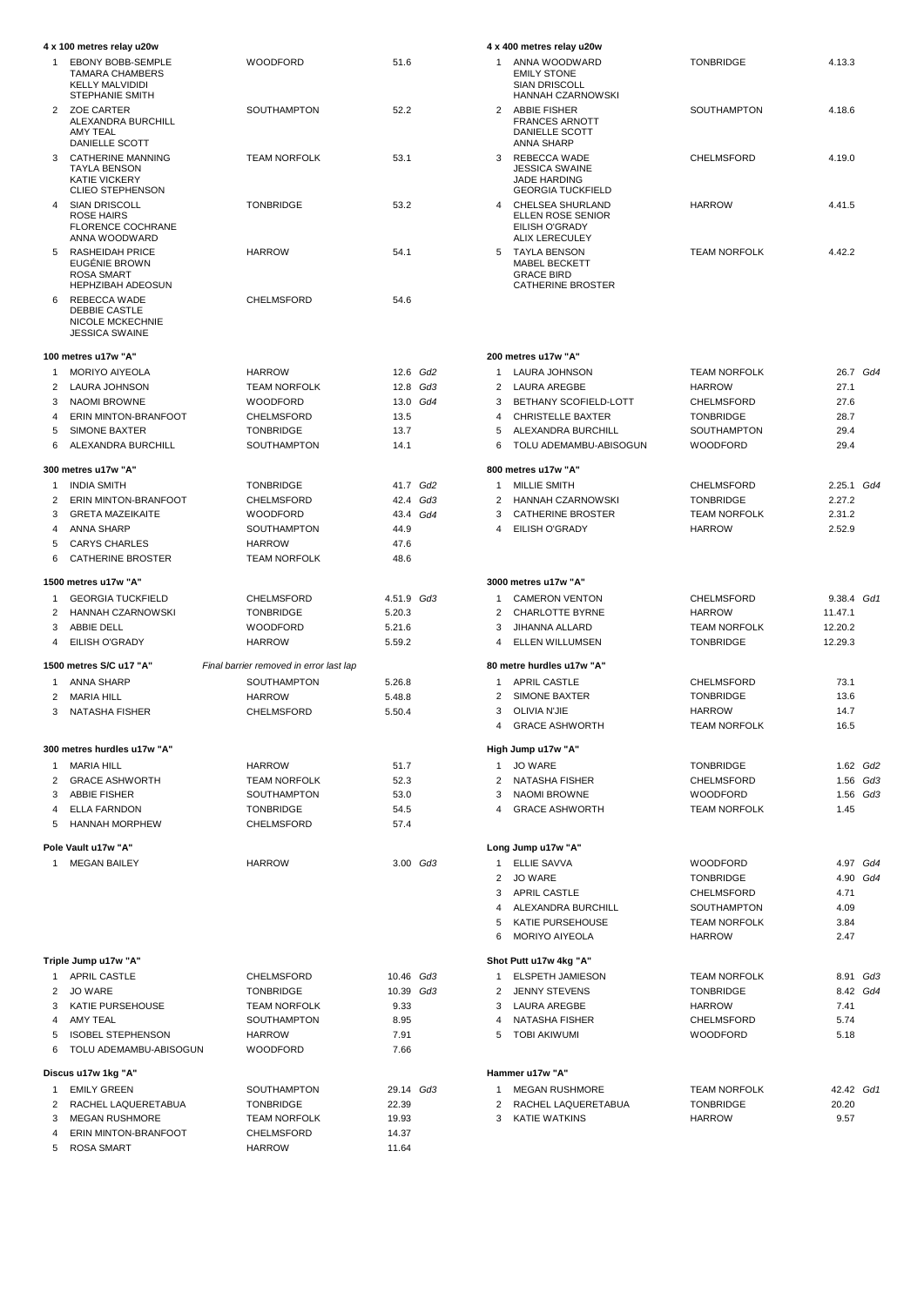|                | 4 x 100 metres relay u20w                                                                                 |                                           |                      |  |
|----------------|-----------------------------------------------------------------------------------------------------------|-------------------------------------------|----------------------|--|
| 1              | <b>EBONY BOBB-SEMPLE</b><br><b>TAMARA CHAMBERS</b><br><b>KELLY MALVIDIDI</b>                              | <b>WOODFORD</b>                           | 51.6                 |  |
| $\overline{2}$ | STEPHANIE SMITH<br><b>ZOE CARTER</b><br>ALEXANDRA BURCHILL<br>AMY TEAL                                    | SOUTHAMPTON                               | 52.2                 |  |
| 3              | DANIELLE SCOTT<br>CATHERINE MANNING<br><b>TAYLA BENSON</b><br><b>KATIE VICKERY</b>                        | <b>TEAM NORFOLK</b>                       | 53.1                 |  |
| 4              | <b>CLIEO STEPHENSON</b><br><b>SIAN DRISCOLL</b><br><b>ROSE HAIRS</b><br><b>FLORENCE COCHRANE</b>          | <b>TONBRIDGE</b>                          | 53.2                 |  |
| 5              | ANNA WOODWARD<br><b>RASHEIDAH PRICE</b><br>EUGÉNIE BROWN<br><b>ROSA SMART</b><br><b>HEPHZIBAH ADEOSUN</b> | <b>HARROW</b>                             | 54.1                 |  |
| 6              | REBECCA WADE<br>DEBBIE CASTLE<br><b>NICOLE MCKECHNIE</b><br><b>JESSICA SWAINE</b>                         | CHELMSFORD                                | 54.6                 |  |
|                | 100 metres u17w "A"                                                                                       |                                           |                      |  |
| $\mathbf{1}$   | <b>MORIYO AIYEOLA</b>                                                                                     | HARROW                                    | 12.6 Gd2             |  |
| $\overline{2}$ | LAURA JOHNSON                                                                                             | <b>TEAM NORFOLK</b>                       | $12.8$ $Gd3$         |  |
| 3              | <b>NAOMI BROWNE</b>                                                                                       | <b>WOODFORD</b>                           | 13.0 Gd4             |  |
| 4              | ERIN MINTON-BRANFOOT                                                                                      | CHELMSFORD                                | 13.5                 |  |
| 5<br>6         | <b>SIMONE BAXTER</b><br>ALEXANDRA BURCHILL                                                                | <b>TONBRIDGE</b><br><b>SOUTHAMPTON</b>    | 13.7<br>14.1         |  |
|                |                                                                                                           |                                           |                      |  |
|                | 300 metres u17w "A"                                                                                       |                                           |                      |  |
| 1              | <b>INDIA SMITH</b>                                                                                        | <b>TONBRIDGE</b>                          | 41.7 Gd2             |  |
| 2<br>3         | ERIN MINTON-BRANFOOT<br><b>GRETA MAZEIKAITE</b>                                                           | CHELMSFORD<br><b>WOODFORD</b>             | 42.4 Gd3<br>43.4 Gd4 |  |
| 4              | ANNA SHARP                                                                                                | <b>SOUTHAMPTON</b>                        | 44.9                 |  |
| 5              | <b>CARYS CHARLES</b>                                                                                      | <b>HARROW</b>                             | 47.6                 |  |
| 6              | <b>CATHERINE BROSTER</b>                                                                                  | <b>TEAM NORFOLK</b>                       | 48.6                 |  |
|                | 1500 metres u17w "A"                                                                                      |                                           |                      |  |
| 1              | <b>GEORGIA TUCKFIELD</b>                                                                                  | <b>CHELMSFORD</b>                         | 4.51.9 Gd3           |  |
| $\overline{2}$ | <b>HANNAH CZARNOWSKI</b>                                                                                  | <b>TONBRIDGE</b>                          | 5.20.3               |  |
| 3              | ABBIE DELL                                                                                                | <b>WOODFORD</b>                           | 5.21.6               |  |
| 4              | EILISH O'GRADY                                                                                            | <b>HARROW</b>                             | 5.59.2               |  |
|                | 1500 metres S/C u17 "A"                                                                                   | Final barrier removed in error last lap   |                      |  |
| 1              | ANNA SHARP                                                                                                | <b>SOUTHAMPTON</b>                        | 5.26.8               |  |
| 2<br>3         | <b>MARIA HILL</b><br><b>NATASHA FISHER</b>                                                                | <b>HARROW</b><br>CHELMSFORD               | 5.48.8<br>5.50.4     |  |
|                |                                                                                                           |                                           |                      |  |
| 1              | 300 metres hurdles u17w "A"<br><b>MARIA HILL</b>                                                          | HARROW                                    | 51.7                 |  |
|                | 2 GRACE ASHWORTH                                                                                          | <b>TEAM NORFOLK</b>                       | 52.3                 |  |
|                | 3 ABBIE FISHER                                                                                            | <b>SOUTHAMPTON</b>                        | 53.0                 |  |
|                | 4 ELLA FARNDON                                                                                            | <b>TONBRIDGE</b>                          | 54.5                 |  |
|                | 5 HANNAH MORPHEW                                                                                          | CHELMSFORD                                | 57.4                 |  |
|                | Pole Vault u17w "A"                                                                                       |                                           |                      |  |
| 1              | <b>MEGAN BAILEY</b>                                                                                       | <b>HARROW</b>                             | 3.00 Gd3             |  |
|                | Triple Jump u17w "A"                                                                                      |                                           |                      |  |
|                | 1 APRIL CASTLE                                                                                            | CHELMSFORD                                | 10.46 Gd3            |  |
| $\overline{2}$ | JO WARE                                                                                                   | <b>TONBRIDGE</b>                          | 10.39 Gd3            |  |
|                | 3 KATIE PURSEHOUSE<br>4 AMY TEAL                                                                          | <b>TEAM NORFOLK</b><br><b>SOUTHAMPTON</b> | 9.33<br>8.95         |  |
|                | 5 ISOBEL STEPHENSON                                                                                       | HARROW                                    | 7.91                 |  |
|                | 6 TOLU ADEMAMBU-ABISOGUN                                                                                  | <b>WOODFORD</b>                           | 7.66                 |  |
|                | Discus u17w 1kg "A"                                                                                       |                                           |                      |  |
| $\mathbf{1}$   | <b>EMILY GREEN</b>                                                                                        | SOUTHAMPTON                               | 29.14 Gd3            |  |
| $\overline{2}$ | RACHEL LAQUERETABUA                                                                                       | <b>TONBRIDGE</b>                          | 22.39                |  |
| 3              | <b>MEGAN RUSHMORE</b>                                                                                     | <b>TEAM NORFOLK</b>                       | 19.93                |  |
| 4              | ERIN MINTON-BRANFOOT                                                                                      | CHELMSFORD                                | 14.37                |  |
|                | 5 ROSA SMART                                                                                              | HARROW                                    | 11.64                |  |

|                     | 4 x 400 metres relay u20w                                             |                                         |                    |          |
|---------------------|-----------------------------------------------------------------------|-----------------------------------------|--------------------|----------|
| 1                   | ANNA WOODWARD<br><b>EMILY STONE</b>                                   | <b>TONBRIDGE</b>                        | 4.13.3             |          |
|                     | <b>SIAN DRISCOLL</b><br>HANNAH CZARNOWSKI                             |                                         |                    |          |
| $\overline{2}$      | <b>ABBIE FISHER</b><br><b>FRANCES ARNOTT</b><br>DANIELLE SCOTT        | SOUTHAMPTON                             | 4.18.6             |          |
|                     | ANNA SHARP                                                            |                                         |                    |          |
| 3                   | REBECCA WADE<br><b>JESSICA SWAINE</b><br><b>JADE HARDING</b>          | CHELMSFORD                              | 4.19.0             |          |
| 4                   | <b>GEORGIA TUCKFIELD</b><br>CHELSEA SHURLAND                          | <b>HARROW</b>                           | 4.41.5             |          |
|                     | ELLEN ROSE SENIOR<br>EILISH O'GRADY<br><b>ALIX LERECULEY</b>          |                                         |                    |          |
| 5                   | <b>TAYLA BENSON</b>                                                   | <b>TEAM NORFOLK</b>                     | 4.42.2             |          |
|                     | <b>MABEL BECKETT</b><br><b>GRACE BIRD</b><br><b>CATHERINE BROSTER</b> |                                         |                    |          |
|                     |                                                                       |                                         |                    |          |
|                     | 200 metres u17w "A"                                                   |                                         |                    |          |
| 1                   | LAURA JOHNSON                                                         | <b>TEAM NORFOLK</b>                     |                    | 26.7 Gd4 |
| $\overline{2}$<br>3 | LAURA AREGBE<br>BETHANY SCOFIELD-LOTT                                 | <b>HARROW</b><br><b>CHELMSFORD</b>      | 27.1<br>27.6       |          |
| 4                   | <b>CHRISTELLE BAXTER</b>                                              | <b>TONBRIDGE</b>                        | 28.7               |          |
| 5                   | ALEXANDRA BURCHILL                                                    | SOUTHAMPTON                             | 29.4               |          |
| 6                   | TOLU ADEMAMBU-ABISOGUN                                                | <b>WOODFORD</b>                         | 29.4               |          |
|                     | 800 metres u17w "A"                                                   |                                         |                    |          |
| 1                   | <b>MILLIE SMITH</b>                                                   | CHELMSFORD                              | 2.25.1 Gd4         |          |
| $\overline{2}$      | HANNAH CZARNOWSKI                                                     | <b>TONBRIDGE</b>                        | 2.27.2             |          |
| 3<br>4              | <b>CATHERINE BROSTER</b><br>EILISH O'GRADY                            | <b>TEAM NORFOLK</b><br><b>HARROW</b>    | 2.31.2<br>2.52.9   |          |
|                     | 3000 metres u17w "A"                                                  |                                         |                    |          |
| 1                   | <b>CAMERON VENTON</b>                                                 | CHELMSFORD                              | 9.38.4 Gd1         |          |
| $\overline{2}$      | <b>CHARLOTTE BYRNE</b>                                                | <b>HARROW</b>                           | 11.47.1            |          |
| 3                   | <b>JIHANNA ALLARD</b>                                                 | <b>TEAM NORFOLK</b>                     | 12.20.2            |          |
| 4                   | <b>ELLEN WILLUMSEN</b>                                                | <b>TONBRIDGE</b>                        | 12.29.3            |          |
|                     | 80 metre hurdles u17w "A"                                             |                                         |                    |          |
| 1                   | <b>APRIL CASTLE</b>                                                   | CHELMSFORD                              | 73.1               |          |
| 2                   | <b>SIMONE BAXTER</b>                                                  | <b>TONBRIDGE</b>                        | 13.6               |          |
| 3<br>$\overline{4}$ | OLIVIA N'JIE<br><b>GRACE ASHWORTH</b>                                 | HARROW<br><b>TEAM NORFOLK</b>           | 14.7<br>16.5       |          |
|                     | High Jump u17w "A"                                                    |                                         |                    |          |
| 1                   | <b>JO WARE</b>                                                        | <b>TONBRIDGE</b>                        |                    | 1.62 Gd2 |
|                     | 2 NATASHA FISHER                                                      | CHELMSFORD                              |                    | 1.56 Gd3 |
|                     | 3 NAOMI BROWNE                                                        | WOODFORD                                |                    | 1.56 Gd3 |
| $\overline{4}$      | <b>GRACE ASHWORTH</b>                                                 | <b>TEAM NORFOLK</b>                     | 1.45               |          |
|                     | Long Jump u17w "A"                                                    |                                         |                    |          |
| $\mathbf{1}$        | ELLIE SAVVA                                                           | WOODFORD                                |                    | 4.97 Gd4 |
| $\overline{2}$      | <b>JO WARE</b><br>3 APRIL CASTLE                                      | <b>TONBRIDGE</b><br>CHELMSFORD          | 4.71               | 4.90 Gd4 |
|                     | 4 ALEXANDRA BURCHILL                                                  | SOUTHAMPTON                             | 4.09               |          |
| 5                   | KATIE PURSEHOUSE                                                      | <b>TEAM NORFOLK</b>                     | 3.84               |          |
| 6                   | MORIYO AIYEOLA                                                        | <b>HARROW</b>                           | 2.47               |          |
|                     | Shot Putt u17w 4kg "A"                                                |                                         |                    |          |
| $\mathbf{1}$        | ELSPETH JAMIESON                                                      | <b>TEAM NORFOLK</b>                     |                    | 8.91 Gd3 |
| 3                   | 2 JENNY STEVENS<br>LAURA AREGBE                                       | TONBRIDGE<br><b>HARROW</b>              | 7.41               | 8.42 Gd4 |
| $\overline{4}$      | NATASHA FISHER                                                        | CHELMSFORD                              | 5.74               |          |
| 5                   | TOBI AKIWUMI                                                          | WOODFORD                                | 5.18               |          |
|                     |                                                                       |                                         |                    |          |
|                     | Hammer u17w "A"                                                       |                                         |                    |          |
| 1<br>$\overline{2}$ | <b>MEGAN RUSHMORE</b><br>RACHEL LAQUERETABUA                          | <b>TEAM NORFOLK</b><br><b>TONBRIDGE</b> | 42.42 Gd1<br>20.20 |          |
| 3                   | <b>KATIE WATKINS</b>                                                  | <b>HARROW</b>                           | 9.57               |          |
|                     |                                                                       |                                         |                    |          |